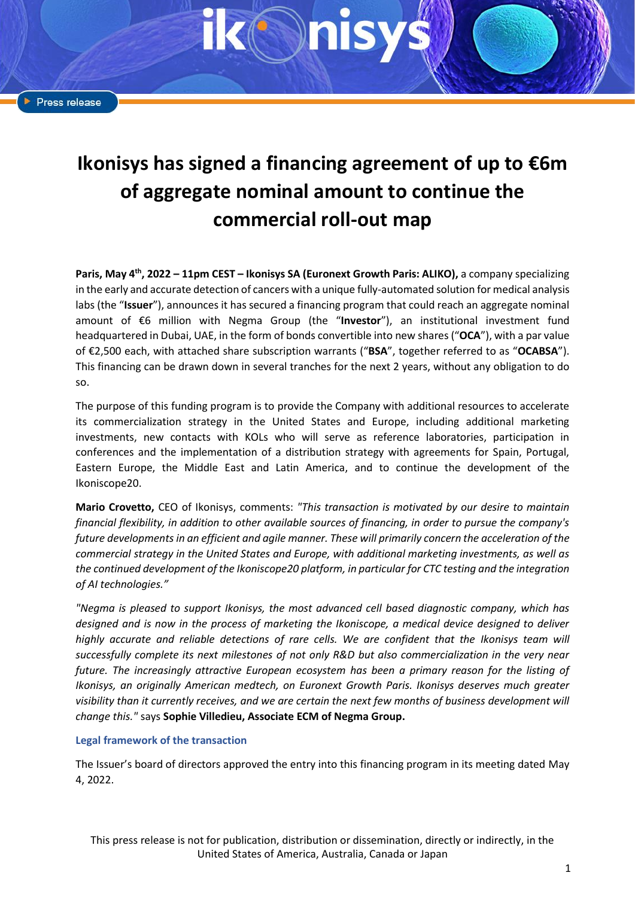# **Ikonisys has signed a financing agreement of up to €6m of aggregate nominal amount to continue the commercial roll-out map**

**Paris, May 4 th , 2022 – 11pm CEST – Ikonisys SA (Euronext Growth Paris: ALIKO),** a company specializing in the early and accurate detection of cancers with a unique fully-automated solution for medical analysis labs (the "**Issuer**"), announces it has secured a financing program that could reach an aggregate nominal amount of €6 million with Negma Group (the "**Investor**"), an institutional investment fund headquartered in Dubai, UAE, in the form of bonds convertible into new shares ("**OCA**"), with a par value of €2,500 each, with attached share subscription warrants ("**BSA**", together referred to as "**OCABSA**"). This financing can be drawn down in several tranches for the next 2 years, without any obligation to do so.

The purpose of this funding program is to provide the Company with additional resources to accelerate its commercialization strategy in the United States and Europe, including additional marketing investments, new contacts with KOLs who will serve as reference laboratories, participation in conferences and the implementation of a distribution strategy with agreements for Spain, Portugal, Eastern Europe, the Middle East and Latin America, and to continue the development of the Ikoniscope20.

**Mario Crovetto,** CEO of Ikonisys, comments: *"This transaction is motivated by our desire to maintain financial flexibility, in addition to other available sources of financing, in order to pursue the company's future developments in an efficient and agile manner. These will primarily concern the acceleration of the commercial strategy in the United States and Europe, with additional marketing investments, as well as the continued development of the Ikoniscope20 platform, in particular for CTC testing and the integration of AI technologies."*

*"Negma is pleased to support Ikonisys, the most advanced cell based diagnostic company, which has designed and is now in the process of marketing the Ikoniscope, a medical device designed to deliver highly accurate and reliable detections of rare cells. We are confident that the Ikonisys team will successfully complete its next milestones of not only R&D but also commercialization in the very near future. The increasingly attractive European ecosystem has been a primary reason for the listing of Ikonisys, an originally American medtech, on Euronext Growth Paris. Ikonisys deserves much greater visibility than it currently receives, and we are certain the next few months of business development will change this."* says **Sophie Villedieu, Associate ECM of Negma Group.**

#### **Legal framework of the transaction**

The Issuer's board of directors approved the entry into this financing program in its meeting dated May 4, 2022.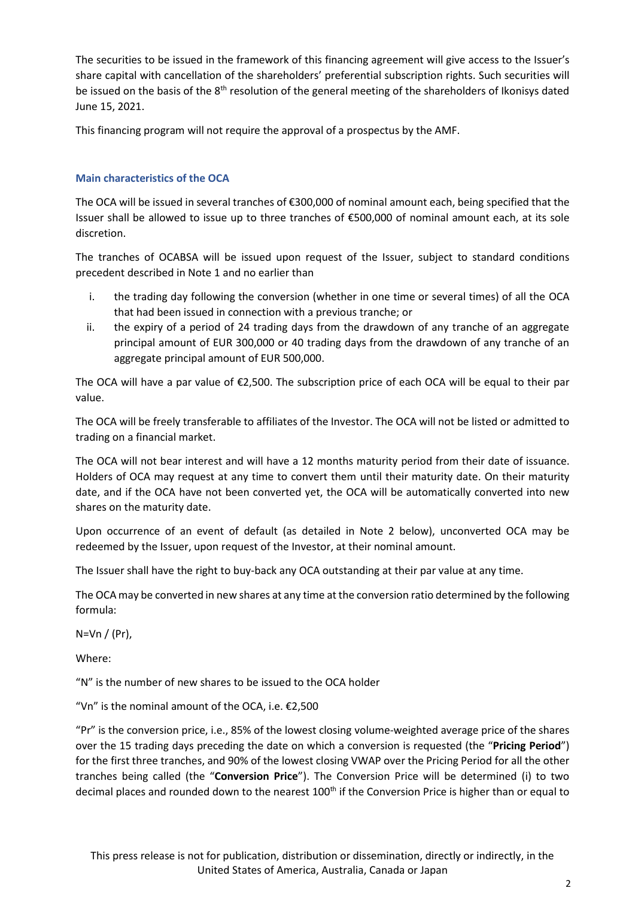The securities to be issued in the framework of this financing agreement will give access to the Issuer's share capital with cancellation of the shareholders' preferential subscription rights. Such securities will be issued on the basis of the 8<sup>th</sup> resolution of the general meeting of the shareholders of Ikonisys dated June 15, 2021.

This financing program will not require the approval of a prospectus by the AMF.

# **Main characteristics of the OCA**

The OCA will be issued in several tranches of €300,000 of nominal amount each, being specified that the Issuer shall be allowed to issue up to three tranches of €500,000 of nominal amount each, at its sole discretion.

The tranches of OCABSA will be issued upon request of the Issuer, subject to standard conditions precedent described in Note 1 and no earlier than

- i. the trading day following the conversion (whether in one time or several times) of all the OCA that had been issued in connection with a previous tranche; or
- ii. the expiry of a period of 24 trading days from the drawdown of any tranche of an aggregate principal amount of EUR 300,000 or 40 trading days from the drawdown of any tranche of an aggregate principal amount of EUR 500,000.

The OCA will have a par value of  $\epsilon$ 2,500. The subscription price of each OCA will be equal to their par value.

The OCA will be freely transferable to affiliates of the Investor. The OCA will not be listed or admitted to trading on a financial market.

The OCA will not bear interest and will have a 12 months maturity period from their date of issuance. Holders of OCA may request at any time to convert them until their maturity date. On their maturity date, and if the OCA have not been converted yet, the OCA will be automatically converted into new shares on the maturity date.

Upon occurrence of an event of default (as detailed in Note 2 below), unconverted OCA may be redeemed by the Issuer, upon request of the Investor, at their nominal amount.

The Issuer shall have the right to buy-back any OCA outstanding at their par value at any time.

The OCA may be converted in new shares at any time at the conversion ratio determined by the following formula:

N=Vn / (Pr),

Where:

"N" is the number of new shares to be issued to the OCA holder

"Vn" is the nominal amount of the OCA, i.e.  $£2,500$ 

"Pr" is the conversion price, i.e., 85% of the lowest closing volume-weighted average price of the shares over the 15 trading days preceding the date on which a conversion is requested (the "**Pricing Period**") for the first three tranches, and 90% of the lowest closing VWAP over the Pricing Period for all the other tranches being called (the "**Conversion Price**"). The Conversion Price will be determined (i) to two decimal places and rounded down to the nearest 100<sup>th</sup> if the Conversion Price is higher than or equal to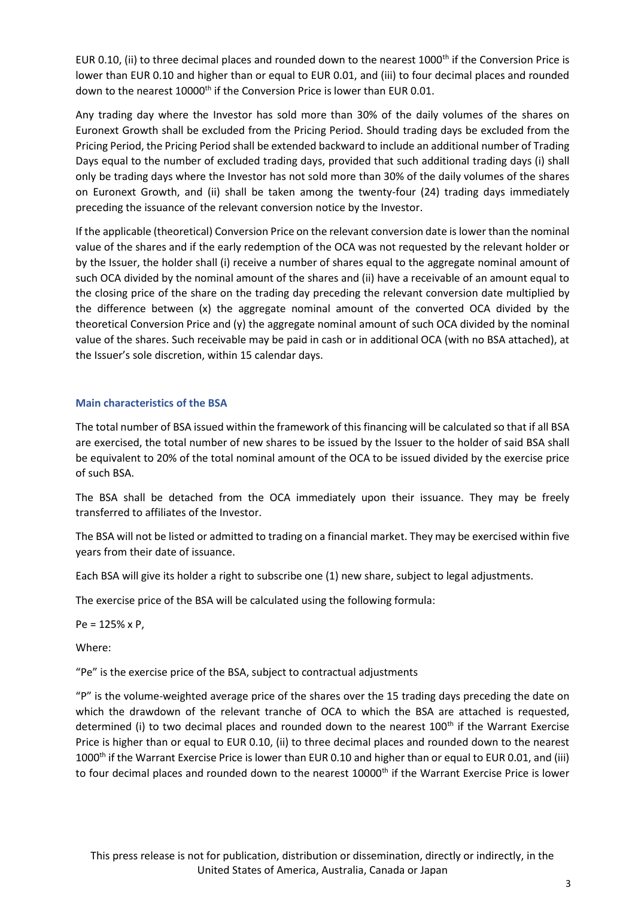EUR 0.10, (ii) to three decimal places and rounded down to the nearest  $1000<sup>th</sup>$  if the Conversion Price is lower than EUR 0.10 and higher than or equal to EUR 0.01, and (iii) to four decimal places and rounded down to the nearest 10000<sup>th</sup> if the Conversion Price is lower than EUR 0.01.

Any trading day where the Investor has sold more than 30% of the daily volumes of the shares on Euronext Growth shall be excluded from the Pricing Period. Should trading days be excluded from the Pricing Period, the Pricing Period shall be extended backward to include an additional number of Trading Days equal to the number of excluded trading days, provided that such additional trading days (i) shall only be trading days where the Investor has not sold more than 30% of the daily volumes of the shares on Euronext Growth, and (ii) shall be taken among the twenty-four (24) trading days immediately preceding the issuance of the relevant conversion notice by the Investor.

If the applicable (theoretical) Conversion Price on the relevant conversion date is lower than the nominal value of the shares and if the early redemption of the OCA was not requested by the relevant holder or by the Issuer, the holder shall (i) receive a number of shares equal to the aggregate nominal amount of such OCA divided by the nominal amount of the shares and (ii) have a receivable of an amount equal to the closing price of the share on the trading day preceding the relevant conversion date multiplied by the difference between (x) the aggregate nominal amount of the converted OCA divided by the theoretical Conversion Price and (y) the aggregate nominal amount of such OCA divided by the nominal value of the shares. Such receivable may be paid in cash or in additional OCA (with no BSA attached), at the Issuer's sole discretion, within 15 calendar days.

# **Main characteristics of the BSA**

The total number of BSA issued within the framework of this financing will be calculated so that if all BSA are exercised, the total number of new shares to be issued by the Issuer to the holder of said BSA shall be equivalent to 20% of the total nominal amount of the OCA to be issued divided by the exercise price of such BSA.

The BSA shall be detached from the OCA immediately upon their issuance. They may be freely transferred to affiliates of the Investor.

The BSA will not be listed or admitted to trading on a financial market. They may be exercised within five years from their date of issuance.

Each BSA will give its holder a right to subscribe one (1) new share, subject to legal adjustments.

The exercise price of the BSA will be calculated using the following formula:

Pe = 125% x P,

Where:

"Pe" is the exercise price of the BSA, subject to contractual adjustments

"P" is the volume-weighted average price of the shares over the 15 trading days preceding the date on which the drawdown of the relevant tranche of OCA to which the BSA are attached is requested, determined (i) to two decimal places and rounded down to the nearest  $100<sup>th</sup>$  if the Warrant Exercise Price is higher than or equal to EUR 0.10, (ii) to three decimal places and rounded down to the nearest 1000<sup>th</sup> if the Warrant Exercise Price is lower than EUR 0.10 and higher than or equal to EUR 0.01, and (iii) to four decimal places and rounded down to the nearest 10000<sup>th</sup> if the Warrant Exercise Price is lower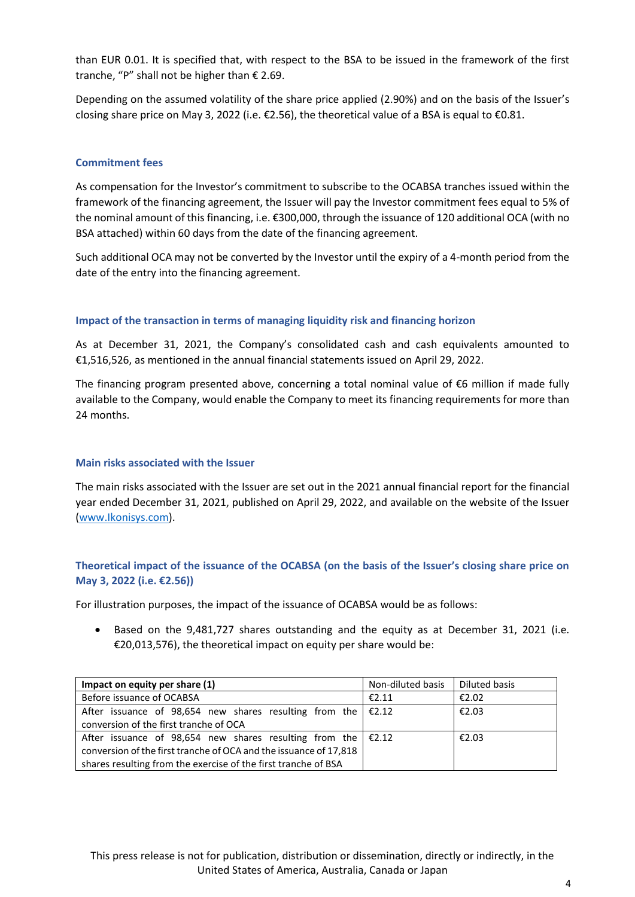than EUR 0.01. It is specified that, with respect to the BSA to be issued in the framework of the first tranche, "P" shall not be higher than € 2.69.

Depending on the assumed volatility of the share price applied (2.90%) and on the basis of the Issuer's closing share price on May 3, 2022 (i.e. €2.56), the theoretical value of a BSA is equal to €0.81.

### **Commitment fees**

As compensation for the Investor's commitment to subscribe to the OCABSA tranches issued within the framework of the financing agreement, the Issuer will pay the Investor commitment fees equal to 5% of the nominal amount of this financing, i.e. €300,000, through the issuance of 120 additional OCA (with no BSA attached) within 60 days from the date of the financing agreement.

Such additional OCA may not be converted by the Investor until the expiry of a 4-month period from the date of the entry into the financing agreement.

# **Impact of the transaction in terms of managing liquidity risk and financing horizon**

As at December 31, 2021, the Company's consolidated cash and cash equivalents amounted to €1,516,526, as mentioned in the annual financial statements issued on April 29, 2022.

The financing program presented above, concerning a total nominal value of  $€6$  million if made fully available to the Company, would enable the Company to meet its financing requirements for more than 24 months.

#### **Main risks associated with the Issuer**

The main risks associated with the Issuer are set out in the 2021 annual financial report for the financial year ended December 31, 2021, published on April 29, 2022, and available on the website of the Issuer [\(www.Ikonisys.com\)](http://www.ikonisys.com/).

# **Theoretical impact of the issuance of the OCABSA (on the basis of the Issuer's closing share price on May 3, 2022 (i.e. €2.56))**

For illustration purposes, the impact of the issuance of OCABSA would be as follows:

• Based on the 9,481,727 shares outstanding and the equity as at December 31, 2021 (i.e.  $£20,013,576$ ), the theoretical impact on equity per share would be:

| Impact on equity per share (1)                                     | Non-diluted basis | Diluted basis |
|--------------------------------------------------------------------|-------------------|---------------|
| Before issuance of OCABSA                                          | €2.11             | €2.02         |
| After issuance of 98,654 new shares resulting from the $\in$ £2.12 |                   | €2.03         |
| conversion of the first tranche of OCA                             |                   |               |
| After issuance of 98,654 new shares resulting from the $\in$ £2.12 |                   | €2.03         |
| conversion of the first tranche of OCA and the issuance of 17,818  |                   |               |
| shares resulting from the exercise of the first tranche of BSA     |                   |               |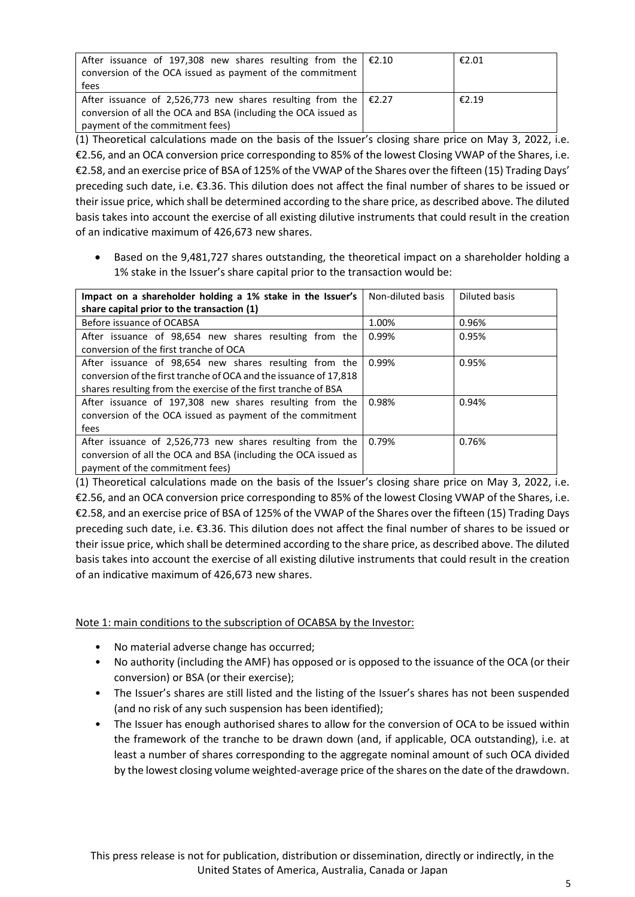| After issuance of 197,308 new shares resulting from the $\in$ £2.10   | €2.01 |
|-----------------------------------------------------------------------|-------|
| conversion of the OCA issued as payment of the commitment             |       |
| fees                                                                  |       |
| After issuance of 2,526,773 new shares resulting from the $\in$ £2.27 | €2.19 |
| conversion of all the OCA and BSA (including the OCA issued as        |       |
| payment of the commitment fees)                                       |       |

(1) Theoretical calculations made on the basis of the Issuer's closing share price on May 3, 2022, i.e. €2.56, and an OCA conversion price corresponding to 85% of the lowest Closing VWAP of the Shares, i.e. €2.58, and an exercise price of BSA of 125% of the VWAP of the Shares over the fifteen (15) Trading Days' preceding such date, i.e. €3.36. This dilution does not affect the final number of shares to be issued or their issue price, which shall be determined according to the share price, as described above. The diluted basis takes into account the exercise of all existing dilutive instruments that could result in the creation of an indicative maximum of 426,673 new shares.

• Based on the 9,481,727 shares outstanding, the theoretical impact on a shareholder holding a 1% stake in the Issuer's share capital prior to the transaction would be:

| Impact on a shareholder holding a 1% stake in the Issuer's<br>share capital prior to the transaction (1)                                                                                      | Non-diluted basis | Diluted basis |
|-----------------------------------------------------------------------------------------------------------------------------------------------------------------------------------------------|-------------------|---------------|
| Before issuance of OCABSA                                                                                                                                                                     | 1.00%             | 0.96%         |
| After issuance of 98,654 new shares resulting from the<br>conversion of the first tranche of OCA                                                                                              | 0.99%             | 0.95%         |
| After issuance of 98,654 new shares resulting from the<br>conversion of the first tranche of OCA and the issuance of 17,818<br>shares resulting from the exercise of the first tranche of BSA | 0.99%             | 0.95%         |
| After issuance of 197,308 new shares resulting from the<br>conversion of the OCA issued as payment of the commitment<br>fees                                                                  | 0.98%             | 0.94%         |
| After issuance of 2,526,773 new shares resulting from the<br>conversion of all the OCA and BSA (including the OCA issued as<br>payment of the commitment fees)                                | 0.79%             | 0.76%         |

(1) Theoretical calculations made on the basis of the Issuer's closing share price on May 3, 2022, i.e. €2.56, and an OCA conversion price corresponding to 85% of the lowest Closing VWAP of the Shares, i.e. €2.58, and an exercise price of BSA of 125% of the VWAP of the Shares over the fifteen (15) Trading Days preceding such date, i.e. €3.36. This dilution does not affect the final number of shares to be issued or their issue price, which shall be determined according to the share price, as described above. The diluted basis takes into account the exercise of all existing dilutive instruments that could result in the creation of an indicative maximum of 426,673 new shares.

Note 1: main conditions to the subscription of OCABSA by the Investor:

- No material adverse change has occurred;
- No authority (including the AMF) has opposed or is opposed to the issuance of the OCA (or their conversion) or BSA (or their exercise);
- The Issuer's shares are still listed and the listing of the Issuer's shares has not been suspended (and no risk of any such suspension has been identified);
- The Issuer has enough authorised shares to allow for the conversion of OCA to be issued within the framework of the tranche to be drawn down (and, if applicable, OCA outstanding), i.e. at least a number of shares corresponding to the aggregate nominal amount of such OCA divided by the lowest closing volume weighted-average price of the shares on the date of the drawdown.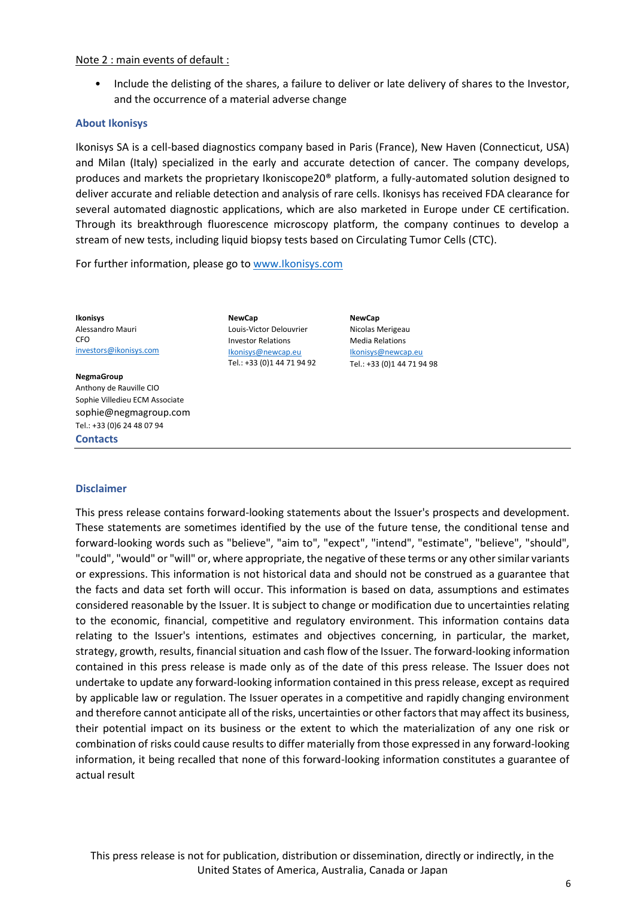#### Note 2 : main events of default :

• Include the delisting of the shares, a failure to deliver or late delivery of shares to the Investor, and the occurrence of a material adverse change

#### **About Ikonisys**

Ikonisys SA is a cell-based diagnostics company based in Paris (France), New Haven (Connecticut, USA) and Milan (Italy) specialized in the early and accurate detection of cancer. The company develops, produces and markets the proprietary Ikoniscope20® platform, a fully-automated solution designed to deliver accurate and reliable detection and analysis of rare cells. Ikonisys has received FDA clearance for several automated diagnostic applications, which are also marketed in Europe under CE certification. Through its breakthrough fluorescence microscopy platform, the company continues to develop a stream of new tests, including liquid biopsy tests based on Circulating Tumor Cells (CTC).

For further information, please go to [www.Ikonisys.com](http://www.ikonisys.com/)

**Ikonisys** Alessandro Mauri CFO [investors@ikonisys.com](mailto:investors@ikonisys.com)

#### **NegmaGroup**

**Contacts** Anthony de Rauville CIO Sophie Villedieu ECM Associate [sophie@negmagroup.com](mailto:sophie@negmagroup.com) Tel.: +33 (0)6 24 48 07 94

**NewCap** Louis-Victor Delouvrier Investor Relations [Ikonisys@newcap.eu](mailto:ikonisys@newcap.eu) Tel.: +33 (0)1 44 71 94 92

**NewCap** Nicolas Merigeau Media Relations [Ikonisys@newcap.eu](mailto:ikonisys@newcap.eu) Tel.: +33 (0)1 44 71 94 98

# **Disclaimer**

This press release contains forward-looking statements about the Issuer's prospects and development. These statements are sometimes identified by the use of the future tense, the conditional tense and forward-looking words such as "believe", "aim to", "expect", "intend", "estimate", "believe", "should", "could", "would" or "will" or, where appropriate, the negative of these terms or any other similar variants or expressions. This information is not historical data and should not be construed as a guarantee that the facts and data set forth will occur. This information is based on data, assumptions and estimates considered reasonable by the Issuer. It is subject to change or modification due to uncertainties relating to the economic, financial, competitive and regulatory environment. This information contains data relating to the Issuer's intentions, estimates and objectives concerning, in particular, the market, strategy, growth, results, financial situation and cash flow of the Issuer. The forward-looking information contained in this press release is made only as of the date of this press release. The Issuer does not undertake to update any forward-looking information contained in this press release, except as required by applicable law or regulation. The Issuer operates in a competitive and rapidly changing environment and therefore cannot anticipate all of the risks, uncertainties or other factors that may affect its business, their potential impact on its business or the extent to which the materialization of any one risk or combination of risks could cause results to differ materially from those expressed in any forward-looking information, it being recalled that none of this forward-looking information constitutes a guarantee of actual result